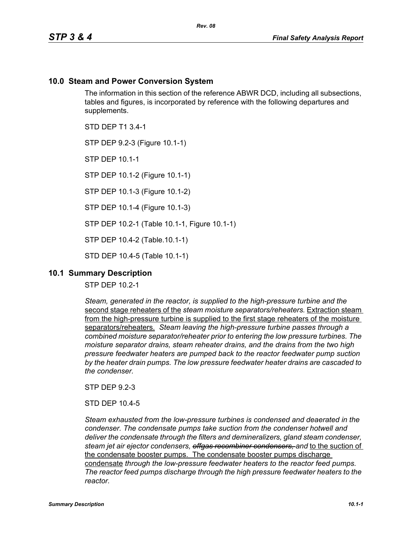# **10.0 Steam and Power Conversion System**

The information in this section of the reference ABWR DCD, including all subsections, tables and figures, is incorporated by reference with the following departures and supplements.

STD DEP T1 3.4-1

STP DEP 9.2-3 (Figure 10.1-1)

STP DEP 10.1-1

STP DEP 10.1-2 (Figure 10.1-1)

STP DEP 10.1-3 (Figure 10.1-2)

STP DEP 10.1-4 (Figure 10.1-3)

STP DEP 10.2-1 (Table 10.1-1, Figure 10.1-1)

STP DEP 10.4-2 (Table.10.1-1)

STD DEP 10.4-5 (Table 10.1-1)

## **10.1 Summary Description**

STP DEP 10.2-1

*Steam, generated in the reactor, is supplied to the high-pressure turbine and the*  second stage reheaters of the *steam moisture separators/reheaters.* Extraction steam from the high-pressure turbine is supplied to the first stage reheaters of the moisture separators/reheaters. *Steam leaving the high-pressure turbine passes through a combined moisture separator/reheater prior to entering the low pressure turbines. The moisture separator drains, steam reheater drains, and the drains from the two high pressure feedwater heaters are pumped back to the reactor feedwater pump suction by the heater drain pumps. The low pressure feedwater heater drains are cascaded to the condenser.*

STP DEP 9.2-3

STD DEP 10.4-5

*Steam exhausted from the low-pressure turbines is condensed and deaerated in the condenser. The condensate pumps take suction from the condenser hotwell and deliver the condensate through the filters and demineralizers, gland steam condenser, steam jet air ejector condensers, offgas recombiner condensers, and* to the suction of the condensate booster pumps. The condensate booster pumps discharge condensate *through the low-pressure feedwater heaters to the reactor feed pumps. The reactor feed pumps discharge through the high pressure feedwater heaters to the reactor.*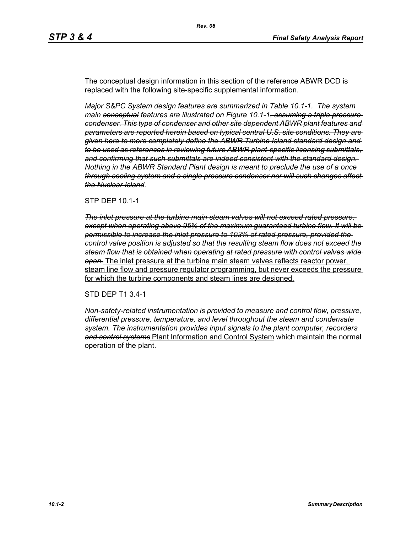The conceptual design information in this section of the reference ABWR DCD is replaced with the following site-specific supplemental information.

*Major S&PC System design features are summarized in Table 10.1-1. The system main conceptual features are illustrated on Figure 10.1-1, assuming a triple pressure condenser. This type of condenser and other site dependent ABWR plant features and parameters are reported herein based on typical central U.S. site conditions. They are given here to more completely define the ABWR Turbine Island standard design and to be used as references in reviewing future ABWR plant-specific licensing submittals, and confirming that such submittals are indeed consistent with the standard design. Nothing in the ABWR Standard Plant design is meant to preclude the use of a once through cooling system and a single pressure condenser nor will such changes affect the Nuclear Island.*

#### STP DEP 10.1-1

*The inlet pressure at the turbine main steam valves will not exceed rated pressure, except when operating above 95% of the maximum guaranteed turbine flow. It will be permissible to increase the inlet pressure to 103% of rated pressure, provided the control valve position is adjusted so that the resulting steam flow does not exceed the steam flow that is obtained when operating at rated pressure with control valves wide open.* The inlet pressure at the turbine main steam valves reflects reactor power, steam line flow and pressure regulator programming, but never exceeds the pressure for which the turbine components and steam lines are designed.

#### STD DEP T1 3.4-1

*Non-safety-related instrumentation is provided to measure and control flow, pressure, differential pressure, temperature, and level throughout the steam and condensate system. The instrumentation provides input signals to the plant computer, recorders and control systems* Plant Information and Control System which maintain the normal operation of the plant.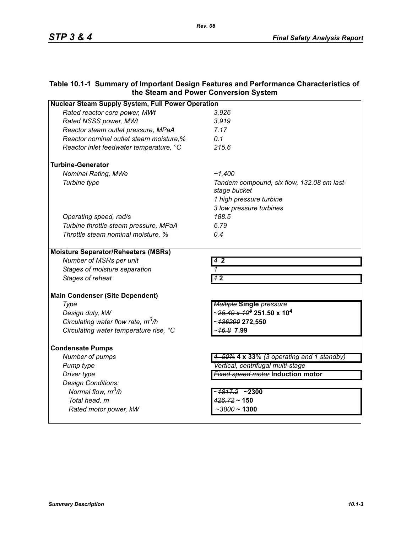# **Table 10.1-1 Summary of Important Design Features and Performance Characteristics of the Steam and Power Conversion System**

| <b>Nuclear Steam Supply System, Full Power Operation</b> |                                                              |  |
|----------------------------------------------------------|--------------------------------------------------------------|--|
| Rated reactor core power, MWt                            | 3,926                                                        |  |
| Rated NSSS power, MWt                                    | 3,919                                                        |  |
| Reactor steam outlet pressure, MPaA                      | 7.17                                                         |  |
| Reactor nominal outlet steam moisture,%                  | 0.1                                                          |  |
| Reactor inlet feedwater temperature, °C                  | 215.6                                                        |  |
| <b>Turbine-Generator</b>                                 |                                                              |  |
| <b>Nominal Rating, MWe</b>                               | ~1.400                                                       |  |
| Turbine type                                             | Tandem compound, six flow, 132.08 cm last-<br>stage bucket   |  |
|                                                          | 1 high pressure turbine                                      |  |
|                                                          | 3 low pressure turbines                                      |  |
| Operating speed, rad/s                                   | 188.5                                                        |  |
| Turbine throttle steam pressure, MPaA                    | 6.79                                                         |  |
| Throttle steam nominal moisture, %                       | 0.4                                                          |  |
| <b>Moisture Separator/Reheaters (MSRs)</b>               |                                                              |  |
| Number of MSRs per unit                                  | 42                                                           |  |
| Stages of moisture separation                            | 1                                                            |  |
| Stages of reheat                                         | 42                                                           |  |
| <b>Main Condenser (Site Dependent)</b>                   |                                                              |  |
| Type                                                     | <b>Multiple Single pressure</b>                              |  |
| Design duty, kW                                          | ~ <del>25.49 x 10<sup>5</sup></del> 251.50 x 10 <sup>4</sup> |  |
| Circulating water flow rate, $m^3/h$                     | ~136290 272,550                                              |  |
| Circulating water temperature rise, °C                   | ~ <del>16.8</del> 7.99                                       |  |
| <b>Condensate Pumps</b>                                  |                                                              |  |
| Number of pumps                                          | 4-50% 4 x 33% (3 operating and 1 standby)                    |  |
| Pump type                                                | Vertical, centrifugal multi-stage                            |  |
| Driver type                                              | <b>Fixed speed motor Induction motor</b>                     |  |
| Design Conditions:                                       |                                                              |  |
| Normal flow, m <sup>3</sup> /h                           | ~ <del>1817.2</del> ~2300                                    |  |
| Total head, m                                            | $426.72 \sim 150$                                            |  |
| Rated motor power, kW                                    | $\sim$ 3800 ~ 1300                                           |  |
|                                                          |                                                              |  |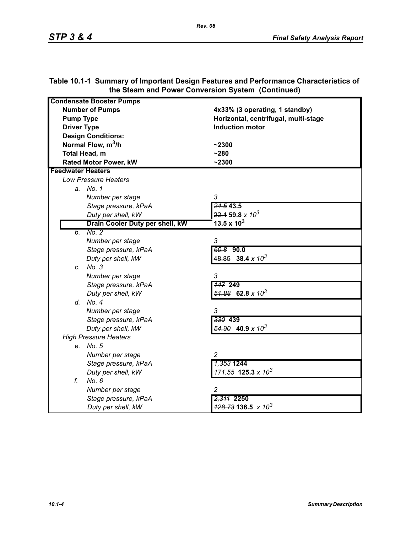| <b>Condensate Booster Pumps</b> |                                          |
|---------------------------------|------------------------------------------|
| <b>Number of Pumps</b>          | 4x33% (3 operating, 1 standby)           |
| <b>Pump Type</b>                | Horizontal, centrifugal, multi-stage     |
| <b>Driver Type</b>              | <b>Induction motor</b>                   |
| <b>Design Conditions:</b>       |                                          |
| Normal Flow, $m^3/h$            | $-2300$                                  |
| Total Head, m                   | $-280$                                   |
| <b>Rated Motor Power, kW</b>    | $-2300$                                  |
| <b>Feedwater Heaters</b>        |                                          |
| <b>Low Pressure Heaters</b>     |                                          |
| a. No. 1                        |                                          |
| Number per stage                | 3                                        |
| Stage pressure, kPaA            | 24.543.5                                 |
| Duty per shell, kW              | $22.4$ 59.8 x $10^3$                     |
| Drain Cooler Duty per shell, kW | 13.5 x $10^3$                            |
| No. 2<br>b.                     |                                          |
| Number per stage                | 3                                        |
| Stage pressure, kPaA            | 60.8 90.0                                |
| Duty per shell, kW              | $48.85$ 38.4 x 10 <sup>3</sup>           |
| c. No. 3                        |                                          |
| Number per stage                | 3                                        |
| Stage pressure, kPaA            | <b>147 249</b>                           |
| Duty per shell, kW              | $\frac{51.88}{2}$ 62.8 x 10 <sup>3</sup> |
| d. No. 4                        |                                          |
| Number per stage                | 3                                        |
| Stage pressure, kPaA            | 330 439                                  |
| Duty per shell, kW              | $\frac{54.90}{2}$ 40.9 x 10 <sup>3</sup> |
| <b>High Pressure Heaters</b>    |                                          |
| e. No. 5                        |                                          |
| Number per stage                | $\overline{c}$                           |
| Stage pressure, kPaA            | 1,353 1244                               |
| Duty per shell, kW              | $171.55$ 125.3 x 10 <sup>3</sup>         |
| f.<br>No. 6                     |                                          |
| Number per stage                | 2                                        |
| Stage pressure, kPaA            | 2,311 2250                               |
| Duty per shell, kW              | $\frac{428.73}{136.5}$ x 10 <sup>3</sup> |

## **Table 10.1-1 Summary of Important Design Features and Performance Characteristics of the Steam and Power Conversion System (Continued)**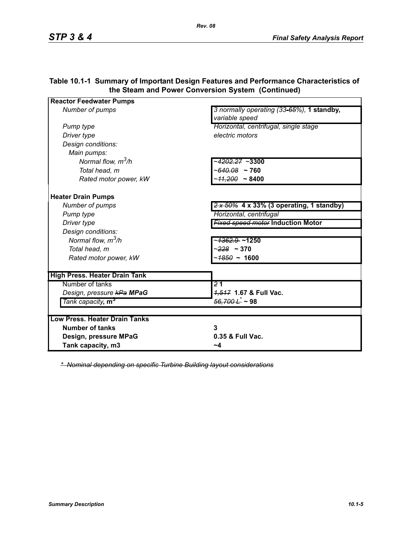| <b>Reactor Feedwater Pumps</b>       |                                                                        |
|--------------------------------------|------------------------------------------------------------------------|
| Number of pumps                      | 3 normally operating (33-65%), 1 standby,<br>variable speed            |
| Pump type                            | Horizontal, centrifugal, single stage                                  |
| Driver type                          | electric motors                                                        |
| Design conditions:                   |                                                                        |
| Main pumps:                          |                                                                        |
| Normal flow, $m^3/h$                 | ~ <del>4202.27</del> ~3300                                             |
| Total head, m                        | ~640.08 ~ 760                                                          |
| Rated motor power, kW                | $~11,200$ ~ 8400                                                       |
| <b>Heater Drain Pumps</b>            |                                                                        |
| Number of pumps                      | $\frac{2 \times 50\%}{2 \times 50\%}$ 4 x 33% (3 operating, 1 standby) |
| Pump type                            | Horizontal, centrifugal                                                |
| Driver type                          | <b>Fixed speed motor Induction Motor</b>                               |
| Design conditions:                   |                                                                        |
| Normal flow, $m^3/h$                 | ~ <del>1362.9</del> ~1250                                              |
| Total head, m                        | $~228~\sim 370$                                                        |
| Rated motor power, kW                | $~1600$ ~ 1600                                                         |
| <b>High Press. Heater Drain Tank</b> |                                                                        |
| Number of tanks                      | $\overline{21}$                                                        |
| Design, pressure kPa MPaG            | 4,517 1.67 & Full Vac.                                                 |
| Tank capacity, m <sup>3</sup>        | $\frac{56,700 \hat{L}^*}{2}$ ~ 98                                      |
| <b>Low Press, Heater Drain Tanks</b> |                                                                        |
| <b>Number of tanks</b>               | 3                                                                      |
| Design, pressure MPaG                | 0.35 & Full Vac.                                                       |
| Tank capacity, m3                    | ~4                                                                     |

### **Table 10.1-1 Summary of Important Design Features and Performance Characteristics of the Steam and Power Conversion System (Continued)**

*\* Nominal depending on specific Turbine Building layout considerations*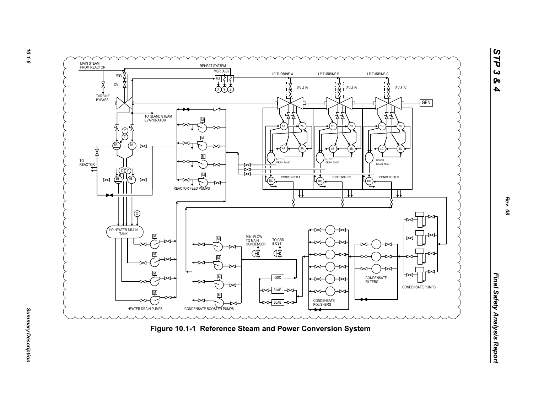